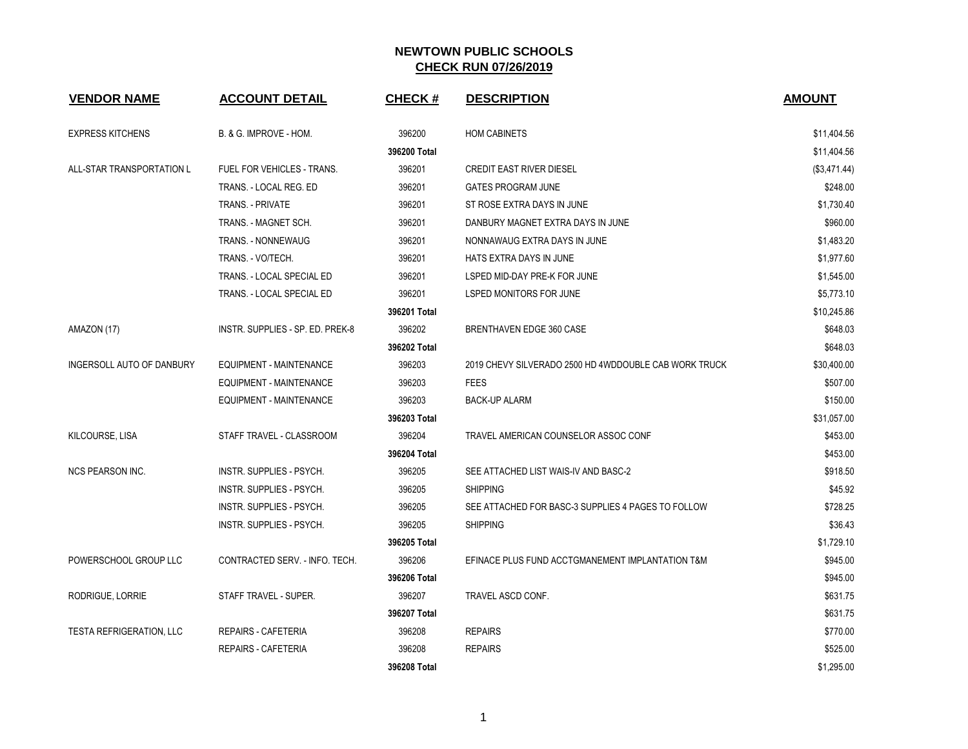| <b>VENDOR NAME</b>               | <b>ACCOUNT DETAIL</b>            | <b>CHECK#</b> | <b>DESCRIPTION</b>                                    | <b>AMOUNT</b> |
|----------------------------------|----------------------------------|---------------|-------------------------------------------------------|---------------|
| <b>EXPRESS KITCHENS</b>          | B. & G. IMPROVE - HOM.           | 396200        | <b>HOM CABINETS</b>                                   | \$11,404.56   |
|                                  |                                  | 396200 Total  |                                                       | \$11,404.56   |
| ALL-STAR TRANSPORTATION L        | FUEL FOR VEHICLES - TRANS.       | 396201        | <b>CREDIT EAST RIVER DIESEL</b>                       | (\$3,471.44)  |
|                                  | TRANS. - LOCAL REG. ED           | 396201        | <b>GATES PROGRAM JUNE</b>                             | \$248.00      |
|                                  | <b>TRANS. - PRIVATE</b>          | 396201        | ST ROSE EXTRA DAYS IN JUNE                            | \$1,730.40    |
|                                  | TRANS. - MAGNET SCH.             | 396201        | DANBURY MAGNET EXTRA DAYS IN JUNE                     | \$960.00      |
|                                  | TRANS. - NONNEWAUG               | 396201        | NONNAWAUG EXTRA DAYS IN JUNE                          | \$1,483.20    |
|                                  | TRANS. - VO/TECH.                | 396201        | HATS EXTRA DAYS IN JUNE                               | \$1,977.60    |
|                                  | TRANS. - LOCAL SPECIAL ED        | 396201        | LSPED MID-DAY PRE-K FOR JUNE                          | \$1,545.00    |
|                                  | TRANS. - LOCAL SPECIAL ED        | 396201        | LSPED MONITORS FOR JUNE                               | \$5,773.10    |
|                                  |                                  | 396201 Total  |                                                       | \$10,245.86   |
| AMAZON (17)                      | INSTR. SUPPLIES - SP. ED. PREK-8 | 396202        | BRENTHAVEN EDGE 360 CASE                              | \$648.03      |
|                                  |                                  | 396202 Total  |                                                       | \$648.03      |
| <b>INGERSOLL AUTO OF DANBURY</b> | <b>EQUIPMENT - MAINTENANCE</b>   | 396203        | 2019 CHEVY SILVERADO 2500 HD 4WDDOUBLE CAB WORK TRUCK | \$30,400.00   |
|                                  | <b>EQUIPMENT - MAINTENANCE</b>   | 396203        | <b>FEES</b>                                           | \$507.00      |
|                                  | EQUIPMENT - MAINTENANCE          | 396203        | <b>BACK-UP ALARM</b>                                  | \$150.00      |
|                                  |                                  | 396203 Total  |                                                       | \$31,057.00   |
| KILCOURSE, LISA                  | STAFF TRAVEL - CLASSROOM         | 396204        | TRAVEL AMERICAN COUNSELOR ASSOC CONF                  | \$453.00      |
|                                  |                                  | 396204 Total  |                                                       | \$453.00      |
| <b>NCS PEARSON INC.</b>          | INSTR. SUPPLIES - PSYCH.         | 396205        | SEE ATTACHED LIST WAIS-IV AND BASC-2                  | \$918.50      |
|                                  | INSTR. SUPPLIES - PSYCH.         | 396205        | <b>SHIPPING</b>                                       | \$45.92       |
|                                  | INSTR. SUPPLIES - PSYCH.         | 396205        | SEE ATTACHED FOR BASC-3 SUPPLIES 4 PAGES TO FOLLOW    | \$728.25      |
|                                  | INSTR. SUPPLIES - PSYCH.         | 396205        | <b>SHIPPING</b>                                       | \$36.43       |
|                                  |                                  | 396205 Total  |                                                       | \$1,729.10    |
| POWERSCHOOL GROUP LLC            | CONTRACTED SERV. - INFO. TECH.   | 396206        | EFINACE PLUS FUND ACCTGMANEMENT IMPLANTATION T&M      | \$945.00      |
|                                  |                                  | 396206 Total  |                                                       | \$945.00      |
| RODRIGUE, LORRIE                 | STAFF TRAVEL - SUPER.            | 396207        | TRAVEL ASCD CONF.                                     | \$631.75      |
|                                  |                                  | 396207 Total  |                                                       | \$631.75      |
| <b>TESTA REFRIGERATION, LLC</b>  | <b>REPAIRS - CAFETERIA</b>       | 396208        | <b>REPAIRS</b>                                        | \$770.00      |
|                                  | <b>REPAIRS - CAFETERIA</b>       | 396208        | <b>REPAIRS</b>                                        | \$525.00      |
|                                  |                                  | 396208 Total  |                                                       | \$1,295.00    |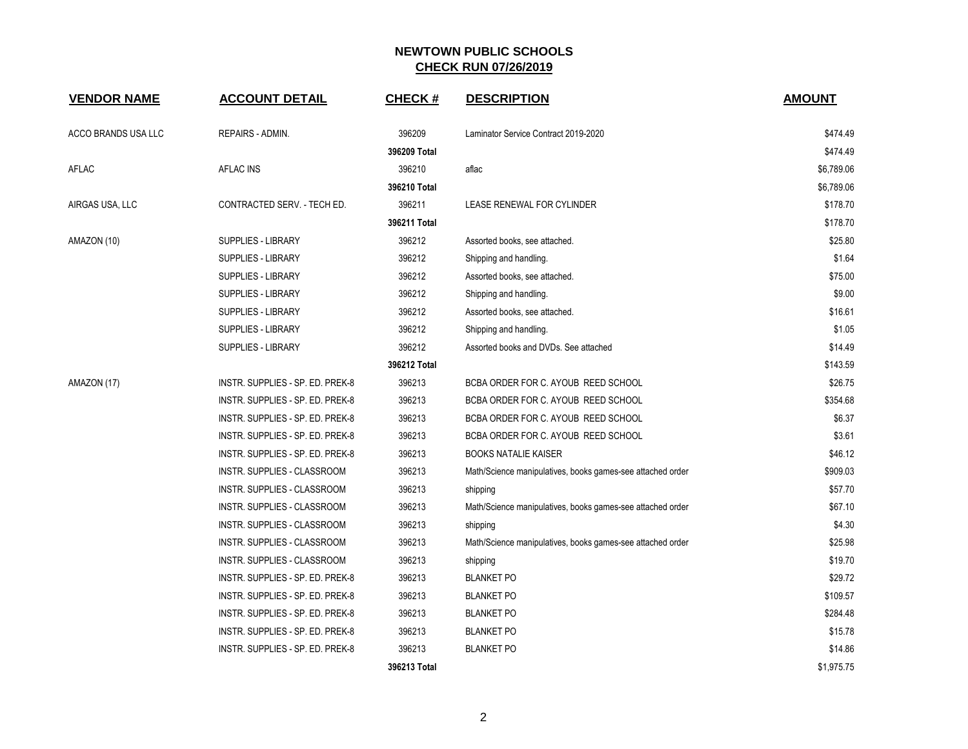| <b>VENDOR NAME</b>  | <b>ACCOUNT DETAIL</b>            | <b>CHECK#</b> | <b>DESCRIPTION</b>                                         | <b>AMOUNT</b> |
|---------------------|----------------------------------|---------------|------------------------------------------------------------|---------------|
| ACCO BRANDS USA LLC | REPAIRS - ADMIN.                 | 396209        | Laminator Service Contract 2019-2020                       | \$474.49      |
|                     |                                  | 396209 Total  |                                                            | \$474.49      |
| <b>AFLAC</b>        | <b>AFLAC INS</b>                 | 396210        | aflac                                                      | \$6,789.06    |
|                     |                                  | 396210 Total  |                                                            | \$6,789.06    |
| AIRGAS USA, LLC     | CONTRACTED SERV. - TECH ED.      | 396211        | LEASE RENEWAL FOR CYLINDER                                 | \$178.70      |
|                     |                                  | 396211 Total  |                                                            | \$178.70      |
| AMAZON (10)         | SUPPLIES - LIBRARY               | 396212        | Assorted books, see attached.                              | \$25.80       |
|                     | <b>SUPPLIES - LIBRARY</b>        | 396212        | Shipping and handling.                                     | \$1.64        |
|                     | <b>SUPPLIES - LIBRARY</b>        | 396212        | Assorted books, see attached.                              | \$75.00       |
|                     | SUPPLIES - LIBRARY               | 396212        | Shipping and handling.                                     | \$9.00        |
|                     | SUPPLIES - LIBRARY               | 396212        | Assorted books, see attached.                              | \$16.61       |
|                     | SUPPLIES - LIBRARY               | 396212        | Shipping and handling.                                     | \$1.05        |
|                     | <b>SUPPLIES - LIBRARY</b>        | 396212        | Assorted books and DVDs. See attached                      | \$14.49       |
|                     |                                  | 396212 Total  |                                                            | \$143.59      |
| AMAZON (17)         | INSTR. SUPPLIES - SP. ED. PREK-8 | 396213        | BCBA ORDER FOR C. AYOUB REED SCHOOL                        | \$26.75       |
|                     | INSTR. SUPPLIES - SP. ED. PREK-8 | 396213        | BCBA ORDER FOR C. AYOUB REED SCHOOL                        | \$354.68      |
|                     | INSTR. SUPPLIES - SP. ED. PREK-8 | 396213        | BCBA ORDER FOR C. AYOUB REED SCHOOL                        | \$6.37        |
|                     | INSTR. SUPPLIES - SP. ED. PREK-8 | 396213        | BCBA ORDER FOR C. AYOUB REED SCHOOL                        | \$3.61        |
|                     | INSTR. SUPPLIES - SP. ED. PREK-8 | 396213        | <b>BOOKS NATALIE KAISER</b>                                | \$46.12       |
|                     | INSTR. SUPPLIES - CLASSROOM      | 396213        | Math/Science manipulatives, books games-see attached order | \$909.03      |
|                     | INSTR. SUPPLIES - CLASSROOM      | 396213        | shipping                                                   | \$57.70       |
|                     | INSTR. SUPPLIES - CLASSROOM      | 396213        | Math/Science manipulatives, books games-see attached order | \$67.10       |
|                     | INSTR. SUPPLIES - CLASSROOM      | 396213        | shipping                                                   | \$4.30        |
|                     | INSTR. SUPPLIES - CLASSROOM      | 396213        | Math/Science manipulatives, books games-see attached order | \$25.98       |
|                     | INSTR. SUPPLIES - CLASSROOM      | 396213        | shipping                                                   | \$19.70       |
|                     | INSTR. SUPPLIES - SP. ED. PREK-8 | 396213        | <b>BLANKET PO</b>                                          | \$29.72       |
|                     | INSTR. SUPPLIES - SP. ED. PREK-8 | 396213        | <b>BLANKET PO</b>                                          | \$109.57      |
|                     | INSTR. SUPPLIES - SP. ED. PREK-8 | 396213        | <b>BLANKET PO</b>                                          | \$284.48      |
|                     | INSTR. SUPPLIES - SP. ED. PREK-8 | 396213        | <b>BLANKET PO</b>                                          | \$15.78       |
|                     | INSTR. SUPPLIES - SP. ED. PREK-8 | 396213        | <b>BLANKET PO</b>                                          | \$14.86       |
|                     |                                  | 396213 Total  |                                                            | \$1,975.75    |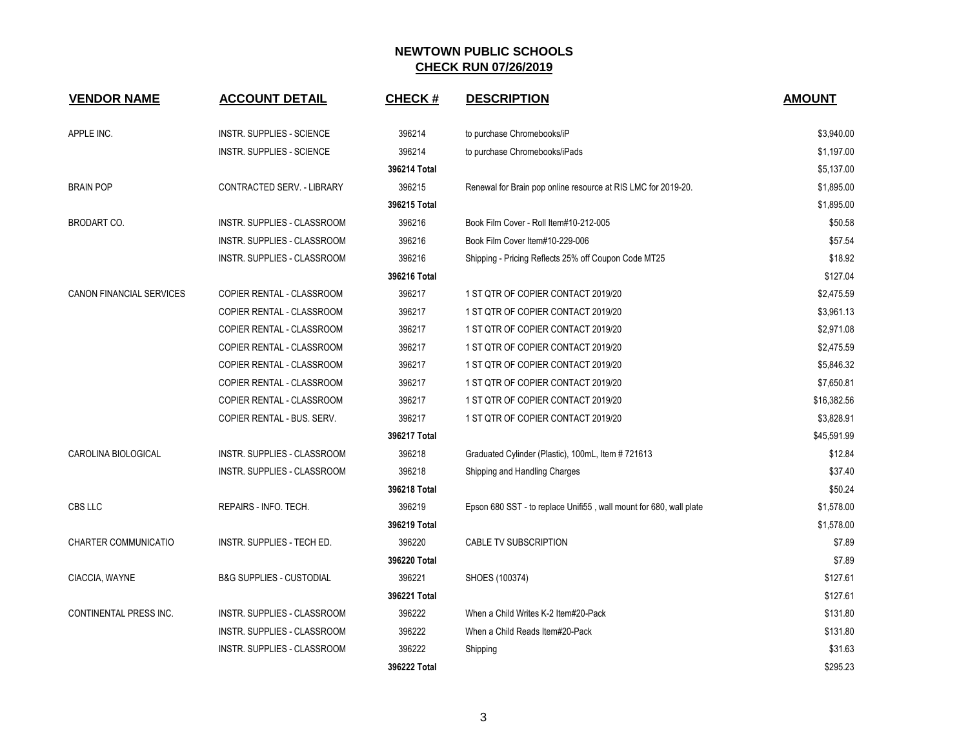| <b>VENDOR NAME</b>              | <b>ACCOUNT DETAIL</b>               | <b>CHECK#</b> | <b>DESCRIPTION</b>                                                 | <b>AMOUNT</b> |
|---------------------------------|-------------------------------------|---------------|--------------------------------------------------------------------|---------------|
| APPLE INC.                      | INSTR. SUPPLIES - SCIENCE           | 396214        | to purchase Chromebooks/iP                                         | \$3,940.00    |
|                                 | <b>INSTR. SUPPLIES - SCIENCE</b>    | 396214        | to purchase Chromebooks/iPads                                      | \$1,197.00    |
|                                 |                                     | 396214 Total  |                                                                    | \$5,137.00    |
| <b>BRAIN POP</b>                | CONTRACTED SERV. - LIBRARY          | 396215        | Renewal for Brain pop online resource at RIS LMC for 2019-20.      | \$1,895.00    |
|                                 |                                     | 396215 Total  |                                                                    | \$1,895.00    |
| <b>BRODART CO.</b>              | INSTR. SUPPLIES - CLASSROOM         | 396216        | Book Film Cover - Roll Item#10-212-005                             | \$50.58       |
|                                 | INSTR. SUPPLIES - CLASSROOM         | 396216        | Book Film Cover Item#10-229-006                                    | \$57.54       |
|                                 | INSTR. SUPPLIES - CLASSROOM         | 396216        | Shipping - Pricing Reflects 25% off Coupon Code MT25               | \$18.92       |
|                                 |                                     | 396216 Total  |                                                                    | \$127.04      |
| <b>CANON FINANCIAL SERVICES</b> | COPIER RENTAL - CLASSROOM           | 396217        | 1 ST QTR OF COPIER CONTACT 2019/20                                 | \$2,475.59    |
|                                 | COPIER RENTAL - CLASSROOM           | 396217        | 1 ST QTR OF COPIER CONTACT 2019/20                                 | \$3,961.13    |
|                                 | COPIER RENTAL - CLASSROOM           | 396217        | 1 ST QTR OF COPIER CONTACT 2019/20                                 | \$2,971.08    |
|                                 | COPIER RENTAL - CLASSROOM           | 396217        | 1 ST QTR OF COPIER CONTACT 2019/20                                 | \$2,475.59    |
|                                 | COPIER RENTAL - CLASSROOM           | 396217        | 1 ST QTR OF COPIER CONTACT 2019/20                                 | \$5,846.32    |
|                                 | COPIER RENTAL - CLASSROOM           | 396217        | 1 ST QTR OF COPIER CONTACT 2019/20                                 | \$7,650.81    |
|                                 | COPIER RENTAL - CLASSROOM           | 396217        | 1 ST QTR OF COPIER CONTACT 2019/20                                 | \$16,382.56   |
|                                 | COPIER RENTAL - BUS. SERV.          | 396217        | 1 ST QTR OF COPIER CONTACT 2019/20                                 | \$3,828.91    |
|                                 |                                     | 396217 Total  |                                                                    | \$45,591.99   |
| CAROLINA BIOLOGICAL             | INSTR. SUPPLIES - CLASSROOM         | 396218        | Graduated Cylinder (Plastic), 100mL, Item #721613                  | \$12.84       |
|                                 | INSTR. SUPPLIES - CLASSROOM         | 396218        | Shipping and Handling Charges                                      | \$37.40       |
|                                 |                                     | 396218 Total  |                                                                    | \$50.24       |
| CBS LLC                         | REPAIRS - INFO. TECH.               | 396219        | Epson 680 SST - to replace Unifi55, wall mount for 680, wall plate | \$1,578.00    |
|                                 |                                     | 396219 Total  |                                                                    | \$1,578.00    |
| CHARTER COMMUNICATIO            | INSTR. SUPPLIES - TECH ED.          | 396220        | CABLE TV SUBSCRIPTION                                              | \$7.89        |
|                                 |                                     | 396220 Total  |                                                                    | \$7.89        |
| CIACCIA, WAYNE                  | <b>B&amp;G SUPPLIES - CUSTODIAL</b> | 396221        | SHOES (100374)                                                     | \$127.61      |
|                                 |                                     | 396221 Total  |                                                                    | \$127.61      |
| <b>CONTINENTAL PRESS INC.</b>   | INSTR. SUPPLIES - CLASSROOM         | 396222        | When a Child Writes K-2 Item#20-Pack                               | \$131.80      |
|                                 | INSTR. SUPPLIES - CLASSROOM         | 396222        | When a Child Reads Item#20-Pack                                    | \$131.80      |
|                                 | INSTR. SUPPLIES - CLASSROOM         | 396222        | Shipping                                                           | \$31.63       |
|                                 |                                     | 396222 Total  |                                                                    | \$295.23      |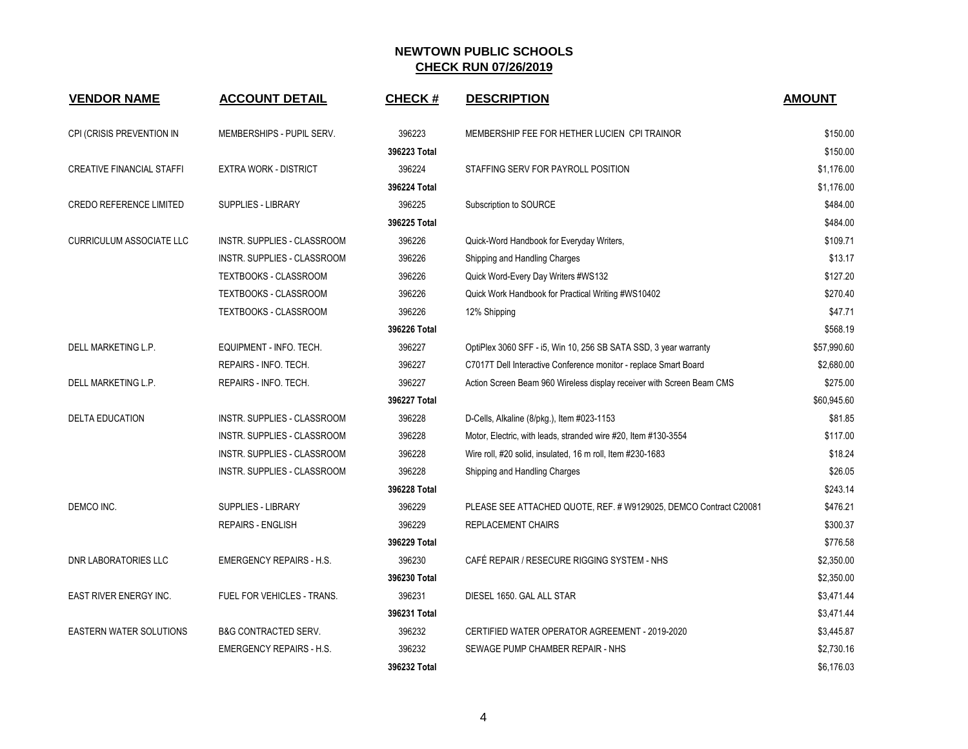| <b>VENDOR NAME</b>               | <b>ACCOUNT DETAIL</b>              | <b>CHECK#</b> | <b>DESCRIPTION</b>                                                    | <b>AMOUNT</b> |
|----------------------------------|------------------------------------|---------------|-----------------------------------------------------------------------|---------------|
| CPI (CRISIS PREVENTION IN        | MEMBERSHIPS - PUPIL SERV.          | 396223        | MEMBERSHIP FEE FOR HETHER LUCIEN CPI TRAINOR                          | \$150.00      |
|                                  |                                    | 396223 Total  |                                                                       | \$150.00      |
| <b>CREATIVE FINANCIAL STAFFI</b> | <b>EXTRA WORK - DISTRICT</b>       | 396224        | STAFFING SERV FOR PAYROLL POSITION                                    | \$1,176.00    |
|                                  |                                    | 396224 Total  |                                                                       | \$1,176.00    |
| <b>CREDO REFERENCE LIMITED</b>   | <b>SUPPLIES - LIBRARY</b>          | 396225        | Subscription to SOURCE                                                | \$484.00      |
|                                  |                                    | 396225 Total  |                                                                       | \$484.00      |
| <b>CURRICULUM ASSOCIATE LLC</b>  | INSTR. SUPPLIES - CLASSROOM        | 396226        | Quick-Word Handbook for Everyday Writers,                             | \$109.71      |
|                                  | INSTR. SUPPLIES - CLASSROOM        | 396226        | Shipping and Handling Charges                                         | \$13.17       |
|                                  | TEXTBOOKS - CLASSROOM              | 396226        | Quick Word-Every Day Writers #WS132                                   | \$127.20      |
|                                  | <b>TEXTBOOKS - CLASSROOM</b>       | 396226        | Quick Work Handbook for Practical Writing #WS10402                    | \$270.40      |
|                                  | TEXTBOOKS - CLASSROOM              | 396226        | 12% Shipping                                                          | \$47.71       |
|                                  |                                    | 396226 Total  |                                                                       | \$568.19      |
| DELL MARKETING L.P.              | EQUIPMENT - INFO. TECH.            | 396227        | OptiPlex 3060 SFF - i5, Win 10, 256 SB SATA SSD, 3 year warranty      | \$57,990.60   |
|                                  | REPAIRS - INFO. TECH.              | 396227        | C7017T Dell Interactive Conference monitor - replace Smart Board      | \$2,680.00    |
| DELL MARKETING L.P.              | REPAIRS - INFO. TECH.              | 396227        | Action Screen Beam 960 Wireless display receiver with Screen Beam CMS | \$275.00      |
|                                  |                                    | 396227 Total  |                                                                       | \$60,945.60   |
| <b>DELTA EDUCATION</b>           | <b>INSTR. SUPPLIES - CLASSROOM</b> | 396228        | D-Cells, Alkaline (8/pkg.), Item #023-1153                            | \$81.85       |
|                                  | INSTR. SUPPLIES - CLASSROOM        | 396228        | Motor, Electric, with leads, stranded wire #20, Item #130-3554        | \$117.00      |
|                                  | <b>INSTR. SUPPLIES - CLASSROOM</b> | 396228        | Wire roll, #20 solid, insulated, 16 m roll, Item #230-1683            | \$18.24       |
|                                  | INSTR. SUPPLIES - CLASSROOM        | 396228        | Shipping and Handling Charges                                         | \$26.05       |
|                                  |                                    | 396228 Total  |                                                                       | \$243.14      |
| DEMCO INC.                       | <b>SUPPLIES - LIBRARY</b>          | 396229        | PLEASE SEE ATTACHED QUOTE, REF. # W9129025, DEMCO Contract C20081     | \$476.21      |
|                                  | <b>REPAIRS - ENGLISH</b>           | 396229        | REPLACEMENT CHAIRS                                                    | \$300.37      |
|                                  |                                    | 396229 Total  |                                                                       | \$776.58      |
| <b>DNR LABORATORIES LLC</b>      | <b>EMERGENCY REPAIRS - H.S.</b>    | 396230        | CAFÉ REPAIR / RESECURE RIGGING SYSTEM - NHS                           | \$2,350.00    |
|                                  |                                    | 396230 Total  |                                                                       | \$2,350.00    |
| <b>EAST RIVER ENERGY INC.</b>    | <b>FUEL FOR VEHICLES - TRANS.</b>  | 396231        | DIESEL 1650. GAL ALL STAR                                             | \$3,471.44    |
|                                  |                                    | 396231 Total  |                                                                       | \$3,471.44    |
| <b>EASTERN WATER SOLUTIONS</b>   | <b>B&amp;G CONTRACTED SERV.</b>    | 396232        | CERTIFIED WATER OPERATOR AGREEMENT - 2019-2020                        | \$3,445.87    |
|                                  | <b>EMERGENCY REPAIRS - H.S.</b>    | 396232        | SEWAGE PUMP CHAMBER REPAIR - NHS                                      | \$2,730.16    |
|                                  |                                    | 396232 Total  |                                                                       | \$6,176.03    |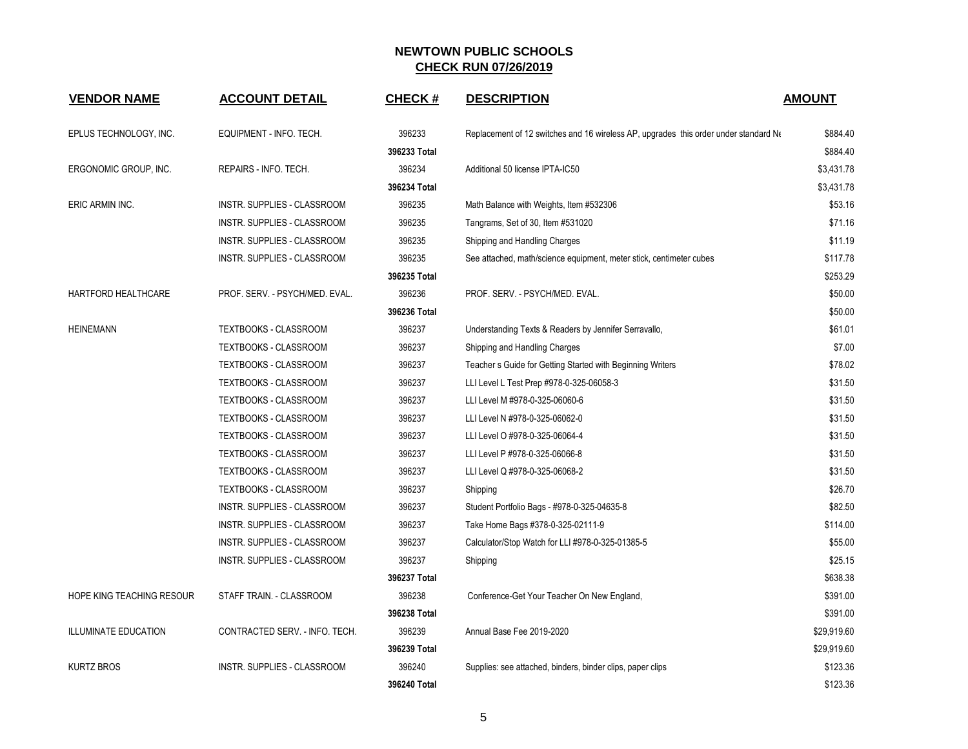| <b>VENDOR NAME</b>          | <b>ACCOUNT DETAIL</b>              | <b>CHECK#</b> | <b>DESCRIPTION</b>                                                                   | <b>AMOUNT</b> |
|-----------------------------|------------------------------------|---------------|--------------------------------------------------------------------------------------|---------------|
| EPLUS TECHNOLOGY, INC.      | EQUIPMENT - INFO. TECH.            | 396233        | Replacement of 12 switches and 16 wireless AP, upgrades this order under standard No | \$884.40      |
|                             |                                    | 396233 Total  |                                                                                      | \$884.40      |
| ERGONOMIC GROUP, INC.       | REPAIRS - INFO. TECH.              | 396234        | Additional 50 license IPTA-IC50                                                      | \$3,431.78    |
|                             |                                    | 396234 Total  |                                                                                      | \$3,431.78    |
| ERIC ARMIN INC.             | INSTR. SUPPLIES - CLASSROOM        | 396235        | Math Balance with Weights, Item #532306                                              | \$53.16       |
|                             | <b>INSTR. SUPPLIES - CLASSROOM</b> | 396235        | Tangrams, Set of 30, Item #531020                                                    | \$71.16       |
|                             | INSTR. SUPPLIES - CLASSROOM        | 396235        | Shipping and Handling Charges                                                        | \$11.19       |
|                             | INSTR. SUPPLIES - CLASSROOM        | 396235        | See attached, math/science equipment, meter stick, centimeter cubes                  | \$117.78      |
|                             |                                    | 396235 Total  |                                                                                      | \$253.29      |
| HARTFORD HEALTHCARE         | PROF. SERV. - PSYCH/MED. EVAL.     | 396236        | PROF. SERV. - PSYCH/MED. EVAL.                                                       | \$50.00       |
|                             |                                    | 396236 Total  |                                                                                      | \$50.00       |
| <b>HEINEMANN</b>            | <b>TEXTBOOKS - CLASSROOM</b>       | 396237        | Understanding Texts & Readers by Jennifer Serravallo,                                | \$61.01       |
|                             | TEXTBOOKS - CLASSROOM              | 396237        | Shipping and Handling Charges                                                        | \$7.00        |
|                             | TEXTBOOKS - CLASSROOM              | 396237        | Teacher s Guide for Getting Started with Beginning Writers                           | \$78.02       |
|                             | <b>TEXTBOOKS - CLASSROOM</b>       | 396237        | LLI Level L Test Prep #978-0-325-06058-3                                             | \$31.50       |
|                             | <b>TEXTBOOKS - CLASSROOM</b>       | 396237        | LLI Level M #978-0-325-06060-6                                                       | \$31.50       |
|                             | TEXTBOOKS - CLASSROOM              | 396237        | LLI Level N #978-0-325-06062-0                                                       | \$31.50       |
|                             | <b>TEXTBOOKS - CLASSROOM</b>       | 396237        | LLI Level O #978-0-325-06064-4                                                       | \$31.50       |
|                             | <b>TEXTBOOKS - CLASSROOM</b>       | 396237        | LLI Level P #978-0-325-06066-8                                                       | \$31.50       |
|                             | TEXTBOOKS - CLASSROOM              | 396237        | LLI Level Q #978-0-325-06068-2                                                       | \$31.50       |
|                             | TEXTBOOKS - CLASSROOM              | 396237        | Shipping                                                                             | \$26.70       |
|                             | INSTR. SUPPLIES - CLASSROOM        | 396237        | Student Portfolio Bags - #978-0-325-04635-8                                          | \$82.50       |
|                             | INSTR. SUPPLIES - CLASSROOM        | 396237        | Take Home Bags #378-0-325-02111-9                                                    | \$114.00      |
|                             | <b>INSTR. SUPPLIES - CLASSROOM</b> | 396237        | Calculator/Stop Watch for LLI #978-0-325-01385-5                                     | \$55.00       |
|                             | INSTR. SUPPLIES - CLASSROOM        | 396237        | Shipping                                                                             | \$25.15       |
|                             |                                    | 396237 Total  |                                                                                      | \$638.38      |
| HOPE KING TEACHING RESOUR   | STAFF TRAIN. - CLASSROOM           | 396238        | Conference-Get Your Teacher On New England,                                          | \$391.00      |
|                             |                                    | 396238 Total  |                                                                                      | \$391.00      |
| <b>ILLUMINATE EDUCATION</b> | CONTRACTED SERV. - INFO. TECH.     | 396239        | Annual Base Fee 2019-2020                                                            | \$29,919.60   |
|                             |                                    | 396239 Total  |                                                                                      | \$29,919.60   |
| <b>KURTZ BROS</b>           | <b>INSTR. SUPPLIES - CLASSROOM</b> | 396240        | Supplies: see attached, binders, binder clips, paper clips                           | \$123.36      |
|                             |                                    | 396240 Total  |                                                                                      | \$123.36      |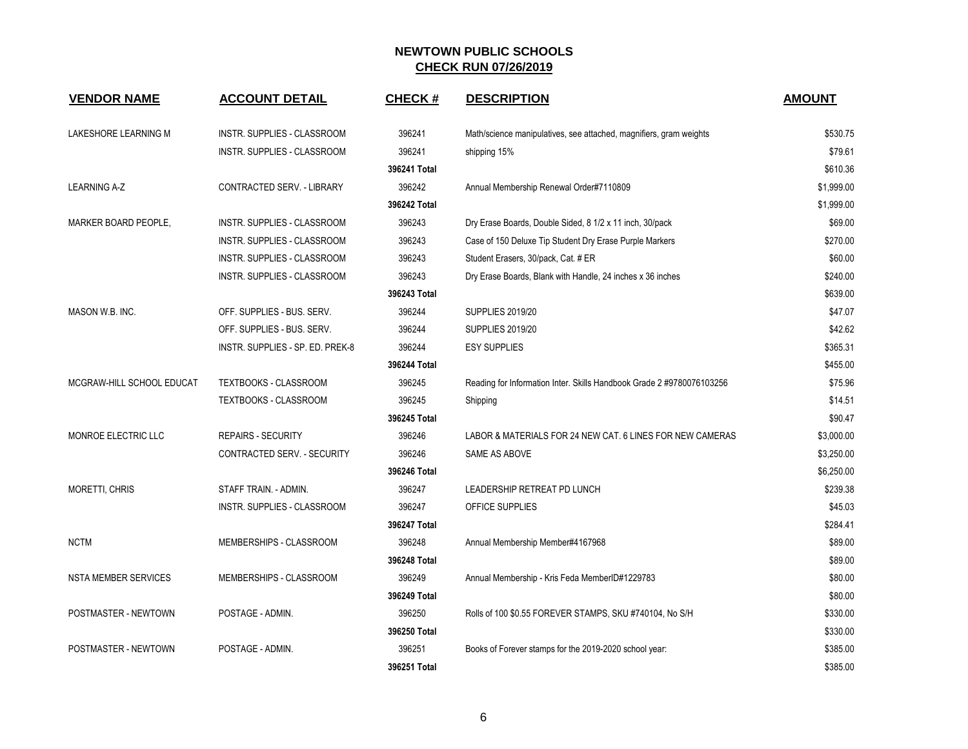| <b>VENDOR NAME</b>          | <b>ACCOUNT DETAIL</b>            | <b>CHECK#</b> | <b>DESCRIPTION</b>                                                    | <b>AMOUNT</b> |
|-----------------------------|----------------------------------|---------------|-----------------------------------------------------------------------|---------------|
| LAKESHORE LEARNING M        | INSTR. SUPPLIES - CLASSROOM      | 396241        | Math/science manipulatives, see attached, magnifiers, gram weights    | \$530.75      |
|                             | INSTR. SUPPLIES - CLASSROOM      | 396241        | shipping 15%                                                          | \$79.61       |
|                             |                                  | 396241 Total  |                                                                       | \$610.36      |
| <b>LEARNING A-Z</b>         | CONTRACTED SERV. - LIBRARY       | 396242        | Annual Membership Renewal Order#7110809                               | \$1,999.00    |
|                             |                                  | 396242 Total  |                                                                       | \$1,999.00    |
| MARKER BOARD PEOPLE,        | INSTR. SUPPLIES - CLASSROOM      | 396243        | Dry Erase Boards, Double Sided, 8 1/2 x 11 inch, 30/pack              | \$69.00       |
|                             | INSTR. SUPPLIES - CLASSROOM      | 396243        | Case of 150 Deluxe Tip Student Dry Erase Purple Markers               | \$270.00      |
|                             | INSTR. SUPPLIES - CLASSROOM      | 396243        | Student Erasers, 30/pack, Cat. # ER                                   | \$60.00       |
|                             | INSTR. SUPPLIES - CLASSROOM      | 396243        | Dry Erase Boards, Blank with Handle, 24 inches x 36 inches            | \$240.00      |
|                             |                                  | 396243 Total  |                                                                       | \$639.00      |
| MASON W.B. INC.             | OFF. SUPPLIES - BUS. SERV.       | 396244        | <b>SUPPLIES 2019/20</b>                                               | \$47.07       |
|                             | OFF. SUPPLIES - BUS. SERV.       | 396244        | <b>SUPPLIES 2019/20</b>                                               | \$42.62       |
|                             | INSTR. SUPPLIES - SP. ED. PREK-8 | 396244        | <b>ESY SUPPLIES</b>                                                   | \$365.31      |
|                             |                                  | 396244 Total  |                                                                       | \$455.00      |
| MCGRAW-HILL SCHOOL EDUCAT   | TEXTBOOKS - CLASSROOM            | 396245        | Reading for Information Inter. Skills Handbook Grade 2 #9780076103256 | \$75.96       |
|                             | TEXTBOOKS - CLASSROOM            | 396245        | Shipping                                                              | \$14.51       |
|                             |                                  | 396245 Total  |                                                                       | \$90.47       |
| MONROE ELECTRIC LLC         | <b>REPAIRS - SECURITY</b>        | 396246        | LABOR & MATERIALS FOR 24 NEW CAT. 6 LINES FOR NEW CAMERAS             | \$3,000.00    |
|                             | CONTRACTED SERV. - SECURITY      | 396246        | SAME AS ABOVE                                                         | \$3,250.00    |
|                             |                                  | 396246 Total  |                                                                       | \$6,250.00    |
| <b>MORETTI, CHRIS</b>       | STAFF TRAIN. - ADMIN.            | 396247        | LEADERSHIP RETREAT PD LUNCH                                           | \$239.38      |
|                             | INSTR. SUPPLIES - CLASSROOM      | 396247        | OFFICE SUPPLIES                                                       | \$45.03       |
|                             |                                  | 396247 Total  |                                                                       | \$284.41      |
| <b>NCTM</b>                 | MEMBERSHIPS - CLASSROOM          | 396248        | Annual Membership Member#4167968                                      | \$89.00       |
|                             |                                  | 396248 Total  |                                                                       | \$89.00       |
| <b>NSTA MEMBER SERVICES</b> | MEMBERSHIPS - CLASSROOM          | 396249        | Annual Membership - Kris Feda MemberID#1229783                        | \$80.00       |
|                             |                                  | 396249 Total  |                                                                       | \$80.00       |
| POSTMASTER - NEWTOWN        | POSTAGE - ADMIN.                 | 396250        | Rolls of 100 \$0.55 FOREVER STAMPS, SKU #740104, No S/H               | \$330.00      |
|                             |                                  | 396250 Total  |                                                                       | \$330.00      |
| POSTMASTER - NEWTOWN        | POSTAGE - ADMIN.                 | 396251        | Books of Forever stamps for the 2019-2020 school year:                | \$385.00      |
|                             |                                  | 396251 Total  |                                                                       | \$385.00      |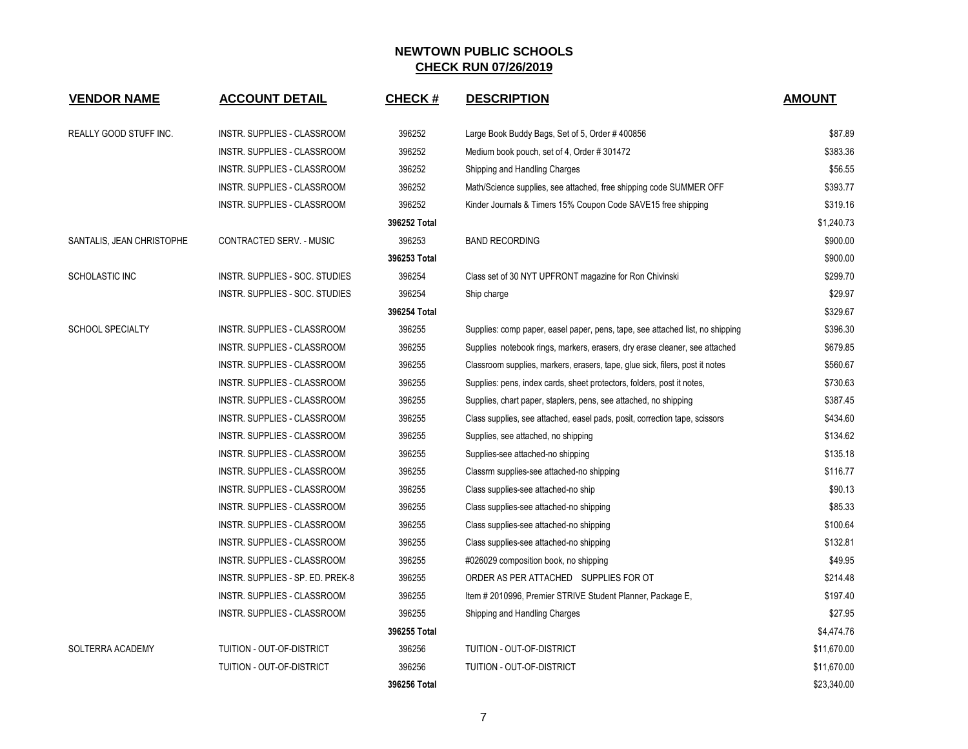| <b>VENDOR NAME</b>            | <b>ACCOUNT DETAIL</b>              | CHECK #      | <b>DESCRIPTION</b>                                                            | <b>AMOUNT</b> |
|-------------------------------|------------------------------------|--------------|-------------------------------------------------------------------------------|---------------|
| <b>REALLY GOOD STUFF INC.</b> | INSTR. SUPPLIES - CLASSROOM        | 396252       | Large Book Buddy Bags, Set of 5, Order #400856                                | \$87.89       |
|                               | <b>INSTR. SUPPLIES - CLASSROOM</b> | 396252       | Medium book pouch, set of 4, Order #301472                                    | \$383.36      |
|                               | INSTR. SUPPLIES - CLASSROOM        | 396252       | Shipping and Handling Charges                                                 | \$56.55       |
|                               | INSTR. SUPPLIES - CLASSROOM        | 396252       | Math/Science supplies, see attached, free shipping code SUMMER OFF            | \$393.77      |
|                               | INSTR. SUPPLIES - CLASSROOM        | 396252       | Kinder Journals & Timers 15% Coupon Code SAVE15 free shipping                 | \$319.16      |
|                               |                                    | 396252 Total |                                                                               | \$1,240.73    |
| SANTALIS, JEAN CHRISTOPHE     | CONTRACTED SERV. - MUSIC           | 396253       | <b>BAND RECORDING</b>                                                         | \$900.00      |
|                               |                                    | 396253 Total |                                                                               | \$900.00      |
| SCHOLASTIC INC                | INSTR. SUPPLIES - SOC. STUDIES     | 396254       | Class set of 30 NYT UPFRONT magazine for Ron Chivinski                        | \$299.70      |
|                               | INSTR. SUPPLIES - SOC. STUDIES     | 396254       | Ship charge                                                                   | \$29.97       |
|                               |                                    | 396254 Total |                                                                               | \$329.67      |
| <b>SCHOOL SPECIALTY</b>       | INSTR. SUPPLIES - CLASSROOM        | 396255       | Supplies: comp paper, easel paper, pens, tape, see attached list, no shipping | \$396.30      |
|                               | INSTR. SUPPLIES - CLASSROOM        | 396255       | Supplies notebook rings, markers, erasers, dry erase cleaner, see attached    | \$679.85      |
|                               | INSTR. SUPPLIES - CLASSROOM        | 396255       | Classroom supplies, markers, erasers, tape, glue sick, filers, post it notes  | \$560.67      |
|                               | INSTR. SUPPLIES - CLASSROOM        | 396255       | Supplies: pens, index cards, sheet protectors, folders, post it notes,        | \$730.63      |
|                               | INSTR. SUPPLIES - CLASSROOM        | 396255       | Supplies, chart paper, staplers, pens, see attached, no shipping              | \$387.45      |
|                               | INSTR. SUPPLIES - CLASSROOM        | 396255       | Class supplies, see attached, easel pads, posit, correction tape, scissors    | \$434.60      |
|                               | INSTR. SUPPLIES - CLASSROOM        | 396255       | Supplies, see attached, no shipping                                           | \$134.62      |
|                               | INSTR. SUPPLIES - CLASSROOM        | 396255       | Supplies-see attached-no shipping                                             | \$135.18      |
|                               | <b>INSTR. SUPPLIES - CLASSROOM</b> | 396255       | Classrm supplies-see attached-no shipping                                     | \$116.77      |
|                               | INSTR. SUPPLIES - CLASSROOM        | 396255       | Class supplies-see attached-no ship                                           | \$90.13       |
|                               | INSTR. SUPPLIES - CLASSROOM        | 396255       | Class supplies-see attached-no shipping                                       | \$85.33       |
|                               | INSTR. SUPPLIES - CLASSROOM        | 396255       | Class supplies-see attached-no shipping                                       | \$100.64      |
|                               | INSTR. SUPPLIES - CLASSROOM        | 396255       | Class supplies-see attached-no shipping                                       | \$132.81      |
|                               | INSTR. SUPPLIES - CLASSROOM        | 396255       | #026029 composition book, no shipping                                         | \$49.95       |
|                               | INSTR. SUPPLIES - SP. ED. PREK-8   | 396255       | ORDER AS PER ATTACHED SUPPLIES FOR OT                                         | \$214.48      |
|                               | INSTR. SUPPLIES - CLASSROOM        | 396255       | Item # 2010996, Premier STRIVE Student Planner, Package E,                    | \$197.40      |
|                               | INSTR. SUPPLIES - CLASSROOM        | 396255       | Shipping and Handling Charges                                                 | \$27.95       |
|                               |                                    | 396255 Total |                                                                               | \$4,474.76    |
| SOLTERRA ACADEMY              | TUITION - OUT-OF-DISTRICT          | 396256       | TUITION - OUT-OF-DISTRICT                                                     | \$11,670.00   |
|                               | TUITION - OUT-OF-DISTRICT          | 396256       | TUITION - OUT-OF-DISTRICT                                                     | \$11,670.00   |
|                               |                                    | 396256 Total |                                                                               | \$23,340.00   |